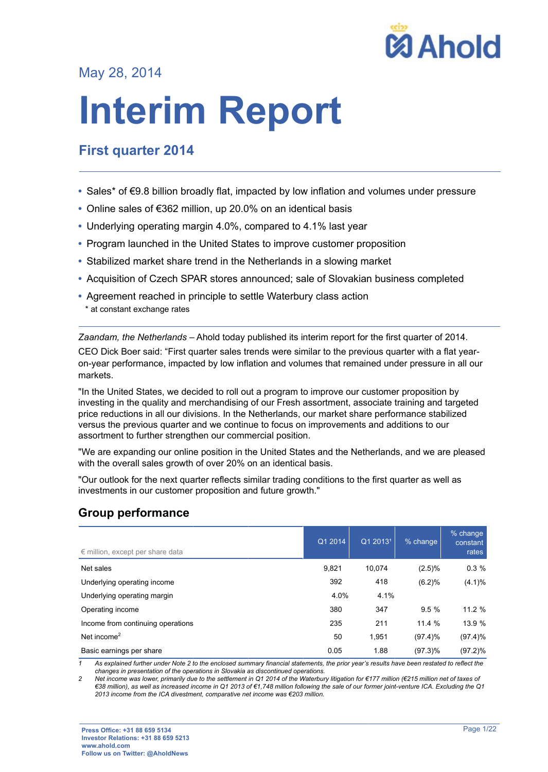

May 28, 2014

# **Interim Report**

# **First quarter 2014**

- Sales\* of €9.8 billion broadly flat, impacted by low inflation and volumes under pressure
- Online sales of €362 million, up 20.0% on an identical basis
- Underlying operating margin 4.0%, compared to 4.1% last year
- Program launched in the United States to improve customer proposition
- Stabilized market share trend in the Netherlands in a slowing market
- Acquisition of Czech SPAR stores announced; sale of Slovakian business completed
- Agreement reached in principle to settle Waterbury class action
- \* at constant exchange rates

*Zaandam, the Netherlands* – Ahold today published its interim report for the first quarter of 2014.

CEO Dick Boer said: "First quarter sales trends were similar to the previous quarter with a flat yearon-year performance, impacted by low inflation and volumes that remained under pressure in all our markets.

"In the United States, we decided to roll out a program to improve our customer proposition by investing in the quality and merchandising of our Fresh assortment, associate training and targeted price reductions in all our divisions. In the Netherlands, our market share performance stabilized versus the previous quarter and we continue to focus on improvements and additions to our assortment to further strengthen our commercial position.

"We are expanding our online position in the United States and the Netherlands, and we are pleased with the overall sales growth of over 20% on an identical basis.

"Our outlook for the next quarter reflects similar trading conditions to the first quarter as well as investments in our customer proposition and future growth."

# **Group performance**

| $\epsilon$ million, except per share data | Q1 2014 | Q1 2013 <sup>1</sup> | % change   | % change<br>constant<br>rates |
|-------------------------------------------|---------|----------------------|------------|-------------------------------|
| Net sales                                 | 9,821   | 10.074               | (2.5)%     | 0.3%                          |
| Underlying operating income               | 392     | 418                  | (6.2)%     | (4.1)%                        |
| Underlying operating margin               | 4.0%    | 4.1%                 |            |                               |
| Operating income                          | 380     | 347                  | 9.5%       | 11.2 %                        |
| Income from continuing operations         | 235     | 211                  | 11.4 %     | 13.9 %                        |
| Net income $2$                            | 50      | 1,951                | $(97.4)\%$ | $(97.4)\%$                    |
| Basic earnings per share                  | 0.05    | 1.88                 | $(97.3)\%$ | $(97.2)\%$                    |

*1 As explained further under Note 2 to the enclosed summary financial statements, the prior year's results have been restated to reflect the changes in presentation of the operations in Slovakia as discontinued operations.*

*2 Net income was lower, primarily due to the settlement in Q1 2014 of the Waterbury litigation for €177 million (€215 million net of taxes of €38 million), as well as increased income in Q1 2013 of €1,748 million following the sale of our former joint-venture ICA. Excluding the Q1 2013 income from the ICA divestment, comparative net income was €203 million.*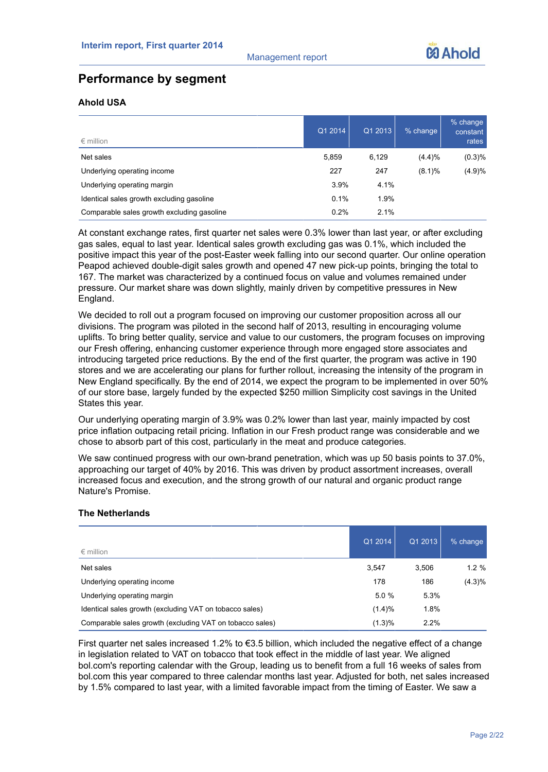# **Performance by segment**

# **Ahold USA**

| $\epsilon$ million                         | Q1 2014 | Q1 2013 | $%$ change | % change<br>constant<br>rates |
|--------------------------------------------|---------|---------|------------|-------------------------------|
| Net sales                                  | 5,859   | 6,129   | (4.4)%     | (0.3)%                        |
| Underlying operating income                | 227     | 247     | $(8.1)$ %  | (4.9)%                        |
| Underlying operating margin                | 3.9%    | 4.1%    |            |                               |
| Identical sales growth excluding gasoline  | 0.1%    | 1.9%    |            |                               |
| Comparable sales growth excluding gasoline | 0.2%    | 2.1%    |            |                               |

At constant exchange rates, first quarter net sales were 0.3% lower than last year, or after excluding gas sales, equal to last year. Identical sales growth excluding gas was 0.1%, which included the positive impact this year of the post-Easter week falling into our second quarter. Our online operation Peapod achieved double-digit sales growth and opened 47 new pick-up points, bringing the total to 167. The market was characterized by a continued focus on value and volumes remained under pressure. Our market share was down slightly, mainly driven by competitive pressures in New England.

We decided to roll out a program focused on improving our customer proposition across all our divisions. The program was piloted in the second half of 2013, resulting in encouraging volume uplifts. To bring better quality, service and value to our customers, the program focuses on improving our Fresh offering, enhancing customer experience through more engaged store associates and introducing targeted price reductions. By the end of the first quarter, the program was active in 190 stores and we are accelerating our plans for further rollout, increasing the intensity of the program in New England specifically. By the end of 2014, we expect the program to be implemented in over 50% of our store base, largely funded by the expected \$250 million Simplicity cost savings in the United States this year.

Our underlying operating margin of 3.9% was 0.2% lower than last year, mainly impacted by cost price inflation outpacing retail pricing. Inflation in our Fresh product range was considerable and we chose to absorb part of this cost, particularly in the meat and produce categories.

We saw continued progress with our own-brand penetration, which was up 50 basis points to 37.0%, approaching our target of 40% by 2016. This was driven by product assortment increases, overall increased focus and execution, and the strong growth of our natural and organic product range Nature's Promise.

# **The Netherlands**

| $\epsilon$ million                                       | Q1 2014 | Q1 2013 | % change, |
|----------------------------------------------------------|---------|---------|-----------|
| Net sales                                                | 3,547   | 3.506   | $1.2 \%$  |
| Underlying operating income                              | 178     | 186     | $(4.3)\%$ |
| Underlying operating margin                              | 5.0%    | 5.3%    |           |
| Identical sales growth (excluding VAT on tobacco sales)  | (1.4)%  | 1.8%    |           |
| Comparable sales growth (excluding VAT on tobacco sales) | (1.3)%  | 2.2%    |           |

First quarter net sales increased 1.2% to  $\epsilon$ 3.5 billion, which included the negative effect of a change in legislation related to VAT on tobacco that took effect in the middle of last year. We aligned bol.com's reporting calendar with the Group, leading us to benefit from a full 16 weeks of sales from bol.com this year compared to three calendar months last year. Adjusted for both, net sales increased by 1.5% compared to last year, with a limited favorable impact from the timing of Easter. We saw a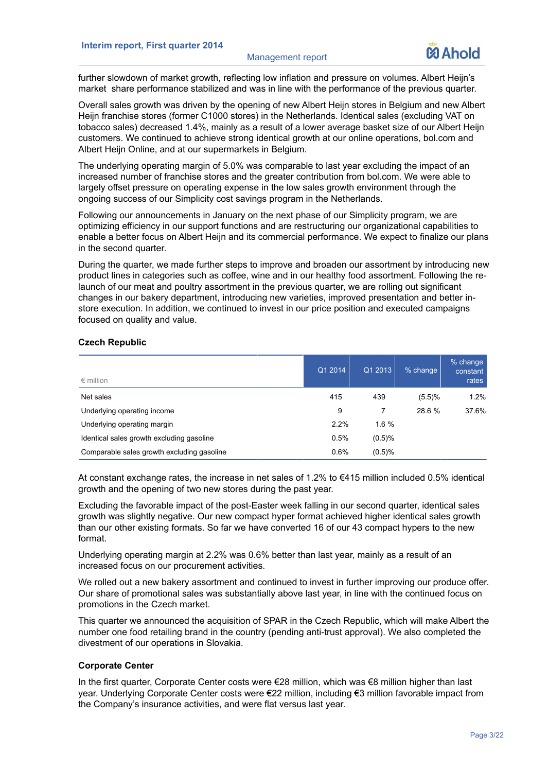further slowdown of market growth, reflecting low inflation and pressure on volumes. Albert Heijn's market share performance stabilized and was in line with the performance of the previous quarter.

Overall sales growth was driven by the opening of new Albert Heijn stores in Belgium and new Albert Heijn franchise stores (former C1000 stores) in the Netherlands. Identical sales (excluding VAT on tobacco sales) decreased 1.4%, mainly as a result of a lower average basket size of our Albert Heijn customers. We continued to achieve strong identical growth at our online operations, bol.com and Albert Heijn Online, and at our supermarkets in Belgium.

The underlying operating margin of 5.0% was comparable to last year excluding the impact of an increased number of franchise stores and the greater contribution from bol.com. We were able to largely offset pressure on operating expense in the low sales growth environment through the ongoing success of our Simplicity cost savings program in the Netherlands.

Following our announcements in January on the next phase of our Simplicity program, we are optimizing efficiency in our support functions and are restructuring our organizational capabilities to enable a better focus on Albert Heijn and its commercial performance. We expect to finalize our plans in the second quarter.

During the quarter, we made further steps to improve and broaden our assortment by introducing new product lines in categories such as coffee, wine and in our healthy food assortment. Following the relaunch of our meat and poultry assortment in the previous quarter, we are rolling out significant changes in our bakery department, introducing new varieties, improved presentation and better instore execution. In addition, we continued to invest in our price position and executed campaigns focused on quality and value.

## **Czech Republic**

| $\epsilon$ million                         | Q1 2014 | Q1 2013  | % change | $%$ change<br>constant<br>rates |
|--------------------------------------------|---------|----------|----------|---------------------------------|
| Net sales                                  | 415     | 439      | (5.5)%   | 1.2%                            |
| Underlying operating income                | 9       |          | 28.6 %   | 37.6%                           |
| Underlying operating margin                | 2.2%    | $1.6 \%$ |          |                                 |
| Identical sales growth excluding gasoline  | 0.5%    | (0.5)%   |          |                                 |
| Comparable sales growth excluding gasoline | 0.6%    | (0.5)%   |          |                                 |

At constant exchange rates, the increase in net sales of 1.2% to €415 million included 0.5% identical growth and the opening of two new stores during the past year.

Excluding the favorable impact of the post-Easter week falling in our second quarter, identical sales growth was slightly negative. Our new compact hyper format achieved higher identical sales growth than our other existing formats. So far we have converted 16 of our 43 compact hypers to the new format.

Underlying operating margin at 2.2% was 0.6% better than last year, mainly as a result of an increased focus on our procurement activities.

We rolled out a new bakery assortment and continued to invest in further improving our produce offer. Our share of promotional sales was substantially above last year, in line with the continued focus on promotions in the Czech market.

This quarter we announced the acquisition of SPAR in the Czech Republic, which will make Albert the number one food retailing brand in the country (pending anti-trust approval). We also completed the divestment of our operations in Slovakia.

# **Corporate Center**

In the first quarter, Corporate Center costs were €28 million, which was €8 million higher than last year. Underlying Corporate Center costs were €22 million, including €3 million favorable impact from the Company's insurance activities, and were flat versus last year.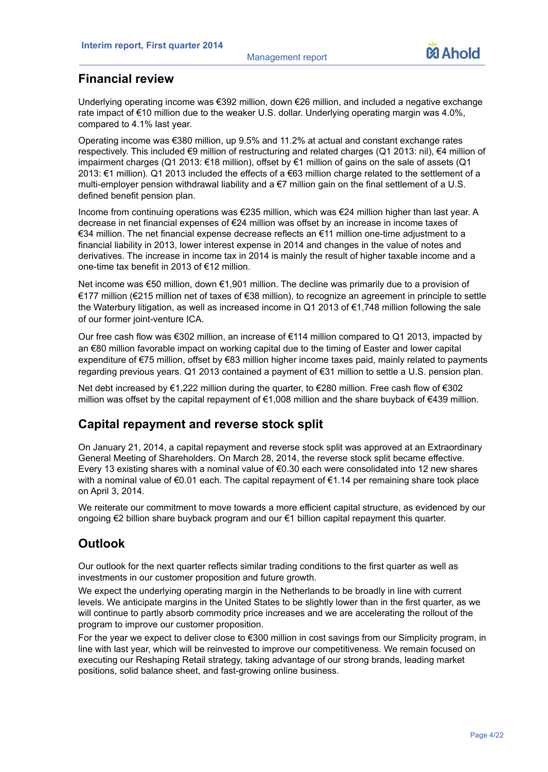# **Financial review**

Underlying operating income was €392 million, down €26 million, and included a negative exchange rate impact of €10 million due to the weaker U.S. dollar. Underlying operating margin was 4.0%, compared to 4.1% last year.

Operating income was €380 million, up 9.5% and 11.2% at actual and constant exchange rates respectively. This included €9 million of restructuring and related charges (Q1 2013: nil), €4 million of impairment charges (Q1 2013: €18 million), offset by €1 million of gains on the sale of assets (Q1 2013: €1 million). Q1 2013 included the effects of a €63 million charge related to the settlement of a multi-employer pension withdrawal liability and a €7 million gain on the final settlement of a U.S. defined benefit pension plan.

Income from continuing operations was €235 million, which was €24 million higher than last year. A decrease in net financial expenses of €24 million was offset by an increase in income taxes of €34 million. The net financial expense decrease reflects an €11 million one-time adjustment to a financial liability in 2013, lower interest expense in 2014 and changes in the value of notes and derivatives. The increase in income tax in 2014 is mainly the result of higher taxable income and a one-time tax benefit in 2013 of €12 million.

Net income was €50 million, down €1,901 million. The decline was primarily due to a provision of €177 million (€215 million net of taxes of €38 million), to recognize an agreement in principle to settle the Waterbury litigation, as well as increased income in Q1 2013 of €1,748 million following the sale of our former joint-venture ICA.

Our free cash flow was €302 million, an increase of €114 million compared to Q1 2013, impacted by an €80 million favorable impact on working capital due to the timing of Easter and lower capital expenditure of €75 million, offset by €83 million higher income taxes paid, mainly related to payments regarding previous years. Q1 2013 contained a payment of €31 million to settle a U.S. pension plan.

Net debt increased by €1,222 million during the quarter, to €280 million. Free cash flow of €302 million was offset by the capital repayment of €1,008 million and the share buyback of €439 million.

# **Capital repayment and reverse stock split**

On January 21, 2014, a capital repayment and reverse stock split was approved at an Extraordinary General Meeting of Shareholders. On March 28, 2014, the reverse stock split became effective. Every 13 existing shares with a nominal value of €0.30 each were consolidated into 12 new shares with a nominal value of €0.01 each. The capital repayment of €1.14 per remaining share took place on April 3, 2014.

We reiterate our commitment to move towards a more efficient capital structure, as evidenced by our ongoing €2 billion share buyback program and our €1 billion capital repayment this quarter.

# **Outlook**

Our outlook for the next quarter reflects similar trading conditions to the first quarter as well as investments in our customer proposition and future growth.

We expect the underlying operating margin in the Netherlands to be broadly in line with current levels. We anticipate margins in the United States to be slightly lower than in the first quarter, as we will continue to partly absorb commodity price increases and we are accelerating the rollout of the program to improve our customer proposition.

For the year we expect to deliver close to €300 million in cost savings from our Simplicity program, in line with last year, which will be reinvested to improve our competitiveness. We remain focused on executing our Reshaping Retail strategy, taking advantage of our strong brands, leading market positions, solid balance sheet, and fast-growing online business.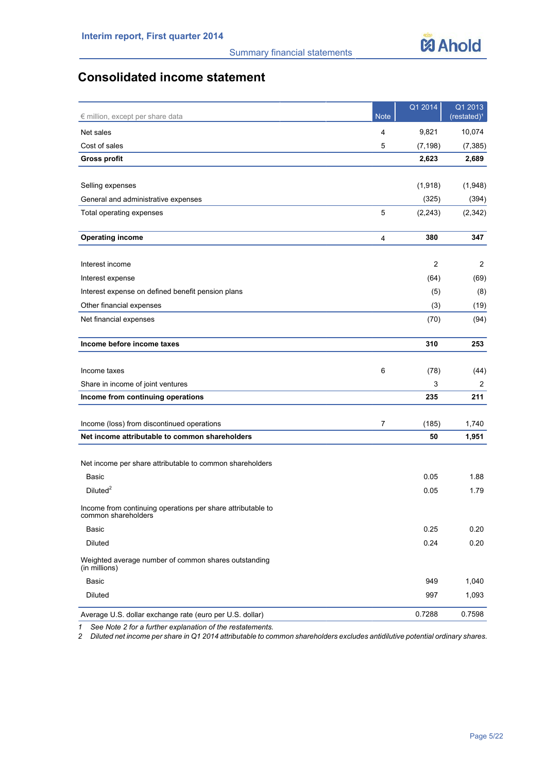# **Consolidated income statement**

| € million, except per share data                                                   | <b>Note</b>    | Q1 2014        | Q1 2013<br>(restated) <sup>1</sup> |
|------------------------------------------------------------------------------------|----------------|----------------|------------------------------------|
| Net sales                                                                          | 4              | 9,821          | 10,074                             |
| Cost of sales                                                                      | 5              | (7, 198)       | (7, 385)                           |
| <b>Gross profit</b>                                                                |                | 2,623          | 2,689                              |
|                                                                                    |                |                |                                    |
| Selling expenses                                                                   |                | (1,918)        | (1,948)                            |
| General and administrative expenses                                                |                | (325)          | (394)                              |
| Total operating expenses                                                           | 5              | (2,243)        | (2, 342)                           |
| <b>Operating income</b>                                                            | 4              | 380            | 347                                |
| Interest income                                                                    |                | $\overline{2}$ | 2                                  |
| Interest expense                                                                   |                | (64)           | (69)                               |
| Interest expense on defined benefit pension plans                                  |                | (5)            | (8)                                |
| Other financial expenses                                                           |                | (3)            | (19)                               |
| Net financial expenses                                                             |                | (70)           | (94)                               |
| Income before income taxes                                                         |                | 310            | 253                                |
|                                                                                    |                |                |                                    |
| Income taxes                                                                       | 6              | (78)           | (44)                               |
| Share in income of joint ventures                                                  |                | 3              | 2                                  |
| Income from continuing operations                                                  |                | 235            | 211                                |
| Income (loss) from discontinued operations                                         | $\overline{7}$ | (185)          | 1,740                              |
| Net income attributable to common shareholders                                     |                | 50             | 1,951                              |
|                                                                                    |                |                |                                    |
| Net income per share attributable to common shareholders                           |                |                |                                    |
| Basic                                                                              |                | 0.05           | 1.88                               |
| Diluted <sup>2</sup>                                                               |                | 0.05           | 1.79                               |
| Income from continuing operations per share attributable to<br>common shareholders |                |                |                                    |
| Basic                                                                              |                | 0.25           | 0.20                               |
| Diluted                                                                            |                | 0.24           | 0.20                               |
| Weighted average number of common shares outstanding<br>(in millions)              |                |                |                                    |
| Basic                                                                              |                | 949            | 1,040                              |
| Diluted                                                                            |                | 997            | 1,093                              |
| Average U.S. dollar exchange rate (euro per U.S. dollar)                           |                | 0.7288         | 0.7598                             |

*1 See Note 2 for a further explanation of the restatements.*

*2 Diluted net income per share in Q1 2014 attributable to common shareholders excludes antidilutive potential ordinary shares.*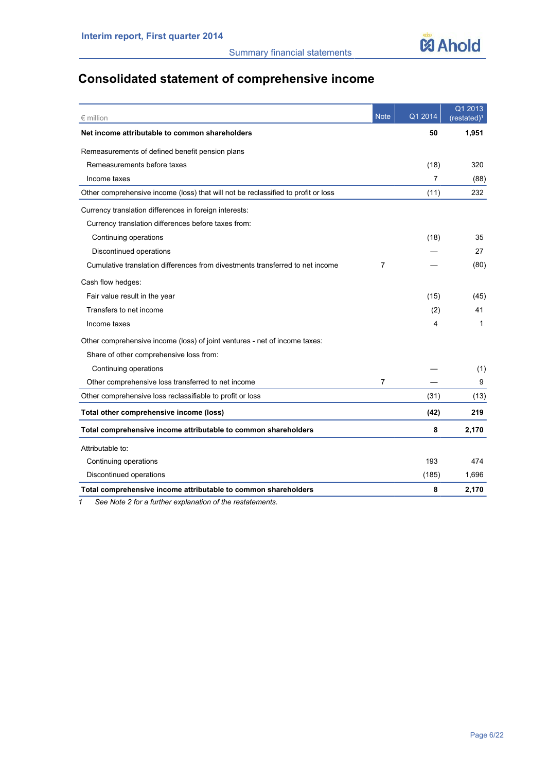

# **Consolidated statement of comprehensive income**

| $∈$ million                                                                       | <b>Note</b> | Q1 2014 | Q1 2013<br>(restated) <sup>1</sup> |
|-----------------------------------------------------------------------------------|-------------|---------|------------------------------------|
| Net income attributable to common shareholders                                    |             | 50      | 1,951                              |
| Remeasurements of defined benefit pension plans                                   |             |         |                                    |
| Remeasurements before taxes                                                       |             | (18)    | 320                                |
| Income taxes                                                                      |             | 7       | (88)                               |
| Other comprehensive income (loss) that will not be reclassified to profit or loss |             | (11)    | 232                                |
| Currency translation differences in foreign interests:                            |             |         |                                    |
| Currency translation differences before taxes from:                               |             |         |                                    |
| Continuing operations                                                             |             | (18)    | 35                                 |
| Discontinued operations                                                           |             |         | 27                                 |
| Cumulative translation differences from divestments transferred to net income     | 7           |         | (80)                               |
| Cash flow hedges:                                                                 |             |         |                                    |
| Fair value result in the year                                                     |             | (15)    | (45)                               |
| Transfers to net income                                                           |             | (2)     | 41                                 |
| Income taxes                                                                      |             | 4       | 1                                  |
| Other comprehensive income (loss) of joint ventures - net of income taxes:        |             |         |                                    |
| Share of other comprehensive loss from:                                           |             |         |                                    |
| Continuing operations                                                             |             |         | (1)                                |
| Other comprehensive loss transferred to net income                                | 7           |         | 9                                  |
| Other comprehensive loss reclassifiable to profit or loss                         |             | (31)    | (13)                               |
| Total other comprehensive income (loss)                                           |             | (42)    | 219                                |
| Total comprehensive income attributable to common shareholders                    |             | 8       | 2,170                              |
| Attributable to:                                                                  |             |         |                                    |
| Continuing operations                                                             |             | 193     | 474                                |
| Discontinued operations                                                           |             | (185)   | 1,696                              |
| Total comprehensive income attributable to common shareholders                    |             | 8       | 2,170                              |

*1 See Note 2 for a further explanation of the restatements.*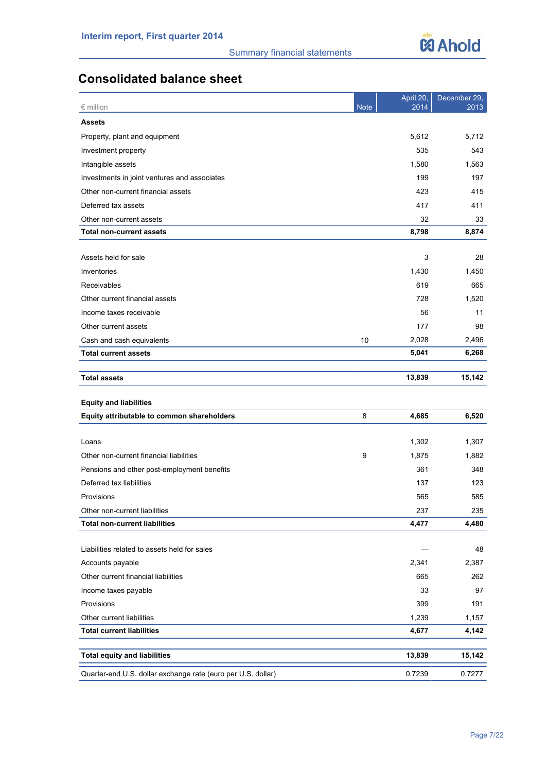

# **Consolidated balance sheet**

| $\epsilon$ million                                           | <b>Note</b> | April 20,<br>2014 | December 29,<br>2013 |
|--------------------------------------------------------------|-------------|-------------------|----------------------|
| <b>Assets</b>                                                |             |                   |                      |
| Property, plant and equipment                                |             | 5,612             | 5,712                |
| Investment property                                          |             | 535               | 543                  |
| Intangible assets                                            |             | 1,580             | 1,563                |
| Investments in joint ventures and associates                 |             | 199               | 197                  |
| Other non-current financial assets                           |             | 423               | 415                  |
| Deferred tax assets                                          |             | 417               | 411                  |
| Other non-current assets                                     |             | 32                | 33                   |
| <b>Total non-current assets</b>                              |             | 8,798             | 8,874                |
|                                                              |             |                   |                      |
| Assets held for sale                                         |             | 3                 | 28                   |
| Inventories                                                  |             | 1,430             | 1,450                |
| Receivables                                                  |             | 619               | 665                  |
| Other current financial assets                               |             | 728               | 1,520                |
| Income taxes receivable                                      |             | 56                | 11                   |
| Other current assets                                         |             | 177               | 98                   |
| Cash and cash equivalents                                    | 10          | 2,028             | 2,496                |
| <b>Total current assets</b>                                  |             | 5,041             | 6,268                |
|                                                              |             |                   |                      |
| <b>Total assets</b>                                          |             | 13,839            | 15,142               |
| <b>Equity and liabilities</b>                                |             |                   |                      |
| Equity attributable to common shareholders                   | 8           | 4,685             | 6,520                |
|                                                              |             |                   |                      |
| Loans                                                        |             | 1,302             | 1,307                |
| Other non-current financial liabilities                      | 9           | 1,875             | 1,882                |
| Pensions and other post-employment benefits                  |             | 361               | 348                  |
| Deferred tax liabilities                                     |             | 137               | 123                  |
| Provisions                                                   |             | 565               | 585                  |
| Other non-current liabilities                                |             | 237               | 235                  |
| <b>Total non-current liabilities</b>                         |             | 4,477             | 4,480                |
|                                                              |             |                   |                      |
| Liabilities related to assets held for sales                 |             |                   | 48                   |
| Accounts payable                                             |             | 2,341             | 2,387                |
| Other current financial liabilities                          |             | 665               | 262                  |
| Income taxes payable                                         |             | 33                | 97                   |
| Provisions                                                   |             | 399               | 191                  |
| Other current liabilities                                    |             | 1,239             | 1,157                |
| <b>Total current liabilities</b>                             |             | 4,677             | 4,142                |
| <b>Total equity and liabilities</b>                          |             | 13,839            | 15,142               |
|                                                              |             |                   |                      |
| Quarter-end U.S. dollar exchange rate (euro per U.S. dollar) |             | 0.7239            | 0.7277               |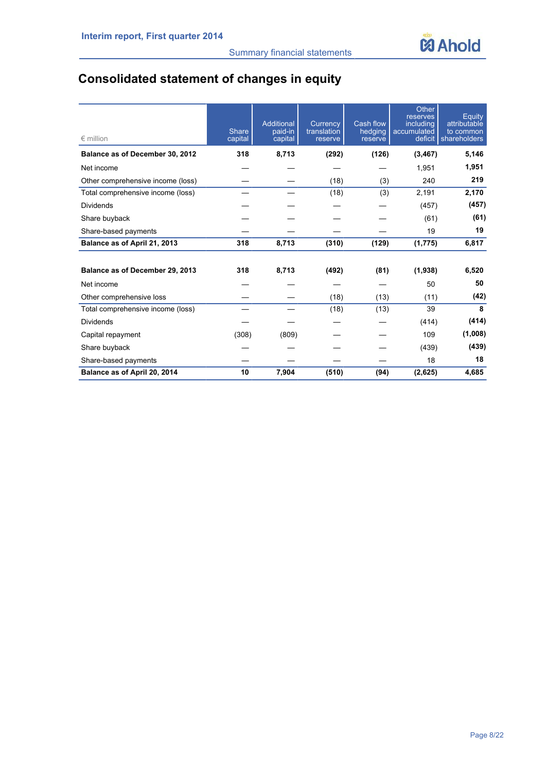# **Consolidated statement of changes in equity**

| $\epsilon$ million                | <b>Share</b><br>capital | Additional<br>paid-in<br>capital | Currency<br>translation<br>reserve | Cash flow<br>hedging<br>reserve | Other<br>reserves<br>including<br>accumulated<br>deficit | Equity<br>attributable<br>to common<br>shareholders |
|-----------------------------------|-------------------------|----------------------------------|------------------------------------|---------------------------------|----------------------------------------------------------|-----------------------------------------------------|
| Balance as of December 30, 2012   | 318                     | 8,713                            | (292)                              | (126)                           | (3, 467)                                                 | 5,146                                               |
| Net income                        |                         |                                  |                                    |                                 | 1,951                                                    | 1,951                                               |
| Other comprehensive income (loss) |                         |                                  | (18)                               | (3)                             | 240                                                      | 219                                                 |
| Total comprehensive income (loss) |                         |                                  | (18)                               | (3)                             | 2,191                                                    | 2,170                                               |
| Dividends                         |                         |                                  |                                    |                                 | (457)                                                    | (457)                                               |
| Share buyback                     |                         |                                  |                                    |                                 | (61)                                                     | (61)                                                |
| Share-based payments              |                         |                                  |                                    |                                 | 19                                                       | 19                                                  |
| Balance as of April 21, 2013      | 318                     | 8,713                            | (310)                              | (129)                           | (1, 775)                                                 | 6,817                                               |
|                                   |                         |                                  |                                    |                                 |                                                          |                                                     |
| Balance as of December 29, 2013   | 318                     | 8,713                            | (492)                              | (81)                            | (1,938)                                                  | 6,520                                               |
| Net income                        |                         |                                  |                                    |                                 | 50                                                       | 50                                                  |
| Other comprehensive loss          |                         |                                  | (18)                               | (13)                            | (11)                                                     | (42)                                                |
| Total comprehensive income (loss) |                         |                                  | (18)                               | (13)                            | 39                                                       | 8                                                   |
| <b>Dividends</b>                  |                         |                                  |                                    |                                 | (414)                                                    | (414)                                               |
| Capital repayment                 | (308)                   | (809)                            |                                    |                                 | 109                                                      | (1,008)                                             |
| Share buyback                     |                         |                                  |                                    |                                 | (439)                                                    | (439)                                               |
| Share-based payments              |                         |                                  |                                    |                                 | 18                                                       | 18                                                  |
| Balance as of April 20, 2014      | 10                      | 7,904                            | (510)                              | (94)                            | (2,625)                                                  | 4,685                                               |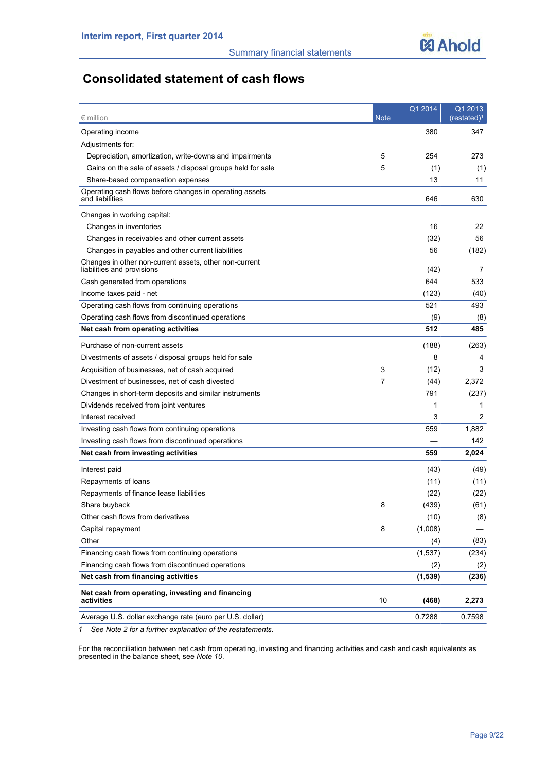# **Consolidated statement of cash flows**

| $\epsilon$ million                                                                   | <b>Note</b> | Q1 2014  | Q1 2013<br>(restated) <sup>1</sup> |
|--------------------------------------------------------------------------------------|-------------|----------|------------------------------------|
| Operating income                                                                     |             | 380      | 347                                |
| Adjustments for:                                                                     |             |          |                                    |
| Depreciation, amortization, write-downs and impairments                              | 5           | 254      | 273                                |
| Gains on the sale of assets / disposal groups held for sale                          | 5           | (1)      | (1)                                |
| Share-based compensation expenses                                                    |             | 13       | 11                                 |
| Operating cash flows before changes in operating assets<br>and liabilities           |             | 646      | 630                                |
| Changes in working capital:                                                          |             |          |                                    |
| Changes in inventories                                                               |             | 16       | 22                                 |
| Changes in receivables and other current assets                                      |             | (32)     | 56                                 |
| Changes in payables and other current liabilities                                    |             | 56       | (182)                              |
| Changes in other non-current assets, other non-current<br>liabilities and provisions |             | (42)     | 7                                  |
| Cash generated from operations                                                       |             | 644      | 533                                |
| Income taxes paid - net                                                              |             | (123)    | (40)                               |
| Operating cash flows from continuing operations                                      |             | 521      | 493                                |
| Operating cash flows from discontinued operations                                    |             | (9)      | (8)                                |
| Net cash from operating activities                                                   |             | 512      | 485                                |
| Purchase of non-current assets                                                       |             | (188)    | (263)                              |
| Divestments of assets / disposal groups held for sale                                |             | 8        | 4                                  |
| Acquisition of businesses, net of cash acquired                                      | 3           | (12)     | 3                                  |
| Divestment of businesses, net of cash divested                                       | 7           | (44)     | 2,372                              |
| Changes in short-term deposits and similar instruments                               |             | 791      | (237)                              |
| Dividends received from joint ventures                                               |             | 1        | 1                                  |
| Interest received                                                                    |             | 3        | 2                                  |
| Investing cash flows from continuing operations                                      |             | 559      | 1,882                              |
| Investing cash flows from discontinued operations                                    |             |          | 142.                               |
| Net cash from investing activities                                                   |             | 559      | 2,024                              |
| Interest paid                                                                        |             | (43)     | (49)                               |
| Repayments of loans                                                                  |             | (11)     | (11)                               |
| Repayments of finance lease liabilities                                              |             | (22)     | (22)                               |
| Share buyback                                                                        | 8           | (439)    | (61)                               |
| Other cash flows from derivatives                                                    |             | (10)     | (8)                                |
| Capital repayment                                                                    | 8           | (1,008)  |                                    |
| Other                                                                                |             | (4)      | (83)                               |
| Financing cash flows from continuing operations                                      |             | (1, 537) | (234)                              |
| Financing cash flows from discontinued operations                                    |             | (2)      | (2)                                |
| Net cash from financing activities                                                   |             | (1, 539) | (236)                              |
| Net cash from operating, investing and financing<br>activities                       | 10          | (468)    | 2,273                              |
| Average U.S. dollar exchange rate (euro per U.S. dollar)                             |             | 0.7288   | 0.7598                             |

*1 See Note 2 for a further explanation of the restatements.*

For the reconciliation between net cash from operating, investing and financing activities and cash and cash equivalents as presented in the balance sheet, see *Note 10*.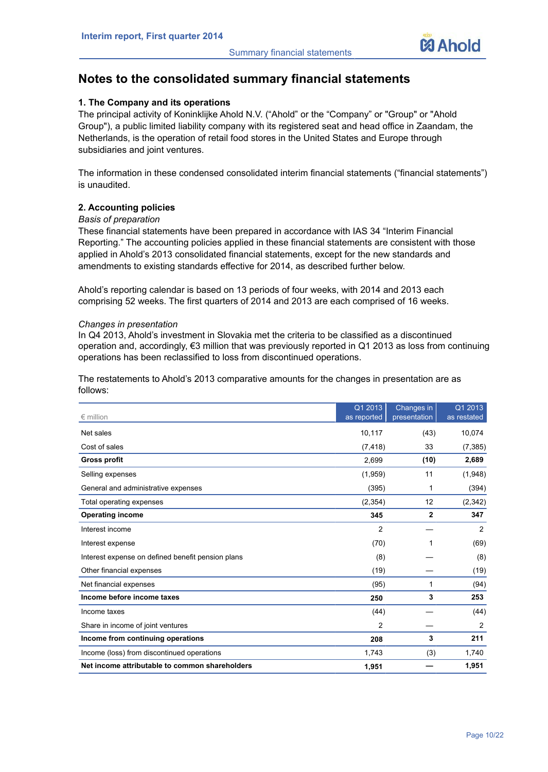# **Notes to the consolidated summary financial statements**

# **1. The Company and its operations**

The principal activity of Koninklijke Ahold N.V. ("Ahold" or the "Company" or "Group" or "Ahold Group"), a public limited liability company with its registered seat and head office in Zaandam, the Netherlands, is the operation of retail food stores in the United States and Europe through subsidiaries and joint ventures.

The information in these condensed consolidated interim financial statements ("financial statements") is unaudited.

# **2. Accounting policies**

# *Basis of preparation*

These financial statements have been prepared in accordance with IAS 34 "Interim Financial Reporting." The accounting policies applied in these financial statements are consistent with those applied in Ahold's 2013 consolidated financial statements, except for the new standards and amendments to existing standards effective for 2014, as described further below.

Ahold's reporting calendar is based on 13 periods of four weeks, with 2014 and 2013 each comprising 52 weeks. The first quarters of 2014 and 2013 are each comprised of 16 weeks.

## *Changes in presentation*

In Q4 2013, Ahold's investment in Slovakia met the criteria to be classified as a discontinued operation and, accordingly, €3 million that was previously reported in Q1 2013 as loss from continuing operations has been reclassified to loss from discontinued operations.

The restatements to Ahold's 2013 comparative amounts for the changes in presentation are as follows:

| $\epsilon$ million                                | Q1 2013<br>as reported | Changes in<br>presentation | Q1 2013<br>as restated |
|---------------------------------------------------|------------------------|----------------------------|------------------------|
| Net sales                                         | 10,117                 | (43)                       | 10,074                 |
| Cost of sales                                     | (7, 418)               | 33                         | (7, 385)               |
| <b>Gross profit</b>                               | 2,699                  | (10)                       | 2,689                  |
| Selling expenses                                  | (1,959)                | 11                         | (1,948)                |
| General and administrative expenses               | (395)                  | 1                          | (394)                  |
| Total operating expenses                          | (2,354)                | 12                         | (2, 342)               |
| <b>Operating income</b>                           | 345                    | $\overline{2}$             | 347                    |
| Interest income                                   | $\overline{c}$         |                            | 2                      |
| Interest expense                                  | (70)                   | 1                          | (69)                   |
| Interest expense on defined benefit pension plans | (8)                    |                            | (8)                    |
| Other financial expenses                          | (19)                   |                            | (19)                   |
| Net financial expenses                            | (95)                   | 1                          | (94)                   |
| Income before income taxes                        | 250                    | 3                          | 253                    |
| Income taxes                                      | (44)                   |                            | (44)                   |
| Share in income of joint ventures                 | 2                      |                            | 2                      |
| Income from continuing operations                 | 208                    | 3                          | 211                    |
| Income (loss) from discontinued operations        | 1,743                  | (3)                        | 1,740                  |
| Net income attributable to common shareholders    | 1,951                  |                            | 1,951                  |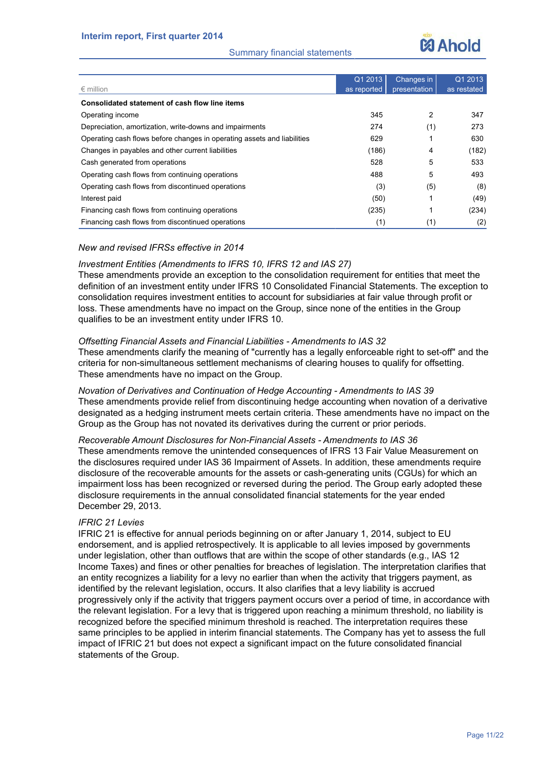# Summary financial statements



| $\epsilon$ million                                                      | Q1 2013<br>as reported | Changes in<br>presentation | Q1 2013<br>as restated |
|-------------------------------------------------------------------------|------------------------|----------------------------|------------------------|
| Consolidated statement of cash flow line items                          |                        |                            |                        |
| Operating income                                                        | 345                    | 2                          | 347                    |
| Depreciation, amortization, write-downs and impairments                 | 274                    | (1)                        | 273                    |
| Operating cash flows before changes in operating assets and liabilities | 629                    |                            | 630                    |
| Changes in payables and other current liabilities                       | (186)                  | 4                          | (182)                  |
| Cash generated from operations                                          | 528                    | 5                          | 533                    |
| Operating cash flows from continuing operations                         | 488                    | 5                          | 493                    |
| Operating cash flows from discontinued operations                       | (3)                    | (5)                        | (8)                    |
| Interest paid                                                           | (50)                   |                            | (49)                   |
| Financing cash flows from continuing operations                         | (235)                  | 1                          | (234)                  |
| Financing cash flows from discontinued operations                       | (1)                    | (1)                        | (2)                    |

# *New and revised IFRSs effective in 2014*

## *Investment Entities (Amendments to IFRS 10, IFRS 12 and IAS 27)*

These amendments provide an exception to the consolidation requirement for entities that meet the definition of an investment entity under IFRS 10 Consolidated Financial Statements. The exception to consolidation requires investment entities to account for subsidiaries at fair value through profit or loss. These amendments have no impact on the Group, since none of the entities in the Group qualifies to be an investment entity under IFRS 10.

# *Offsetting Financial Assets and Financial Liabilities - Amendments to IAS 32*

These amendments clarify the meaning of "currently has a legally enforceable right to set-off" and the criteria for non-simultaneous settlement mechanisms of clearing houses to qualify for offsetting. These amendments have no impact on the Group.

*Novation of Derivatives and Continuation of Hedge Accounting - Amendments to IAS 39* These amendments provide relief from discontinuing hedge accounting when novation of a derivative designated as a hedging instrument meets certain criteria. These amendments have no impact on the Group as the Group has not novated its derivatives during the current or prior periods.

# *Recoverable Amount Disclosures for Non-Financial Assets - Amendments to IAS 36*

These amendments remove the unintended consequences of IFRS 13 Fair Value Measurement on the disclosures required under IAS 36 Impairment of Assets. In addition, these amendments require disclosure of the recoverable amounts for the assets or cash-generating units (CGUs) for which an impairment loss has been recognized or reversed during the period. The Group early adopted these disclosure requirements in the annual consolidated financial statements for the year ended December 29, 2013.

# *IFRIC 21 Levies*

IFRIC 21 is effective for annual periods beginning on or after January 1, 2014, subject to EU endorsement, and is applied retrospectively. It is applicable to all levies imposed by governments under legislation, other than outflows that are within the scope of other standards (e.g., IAS 12 Income Taxes) and fines or other penalties for breaches of legislation. The interpretation clarifies that an entity recognizes a liability for a levy no earlier than when the activity that triggers payment, as identified by the relevant legislation, occurs. It also clarifies that a levy liability is accrued progressively only if the activity that triggers payment occurs over a period of time, in accordance with the relevant legislation. For a levy that is triggered upon reaching a minimum threshold, no liability is recognized before the specified minimum threshold is reached. The interpretation requires these same principles to be applied in interim financial statements. The Company has yet to assess the full impact of IFRIC 21 but does not expect a significant impact on the future consolidated financial statements of the Group.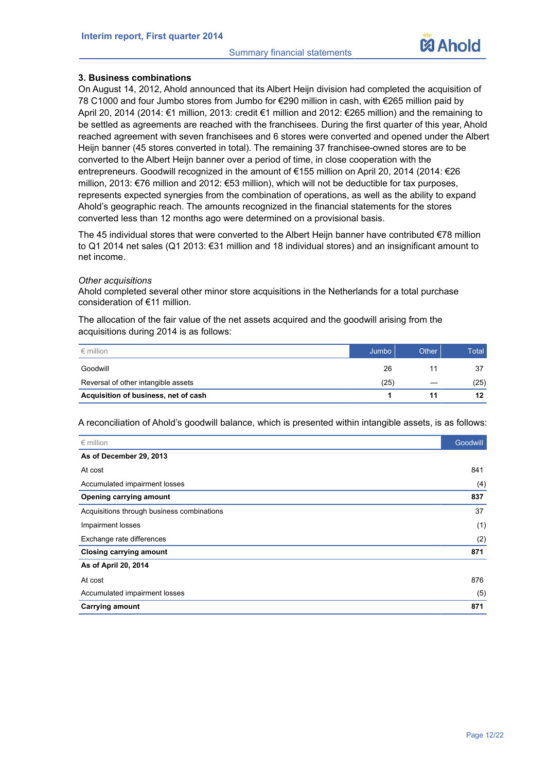# **3. Business combinations**

On August 14, 2012, Ahold announced that its Albert Heijn division had completed the acquisition of 78 C1000 and four Jumbo stores from Jumbo for €290 million in cash, with €265 million paid by April 20, 2014 (2014: €1 million, 2013: credit €1 million and 2012: €265 million) and the remaining to be settled as agreements are reached with the franchisees. During the first quarter of this year, Ahold reached agreement with seven franchisees and 6 stores were converted and opened under the Albert Heijn banner (45 stores converted in total). The remaining 37 franchisee-owned stores are to be converted to the Albert Heijn banner over a period of time, in close cooperation with the entrepreneurs. Goodwill recognized in the amount of €155 million on April 20, 2014 (2014: €26 million, 2013: €76 million and 2012: €53 million), which will not be deductible for tax purposes, represents expected synergies from the combination of operations, as well as the ability to expand Ahold's geographic reach. The amounts recognized in the financial statements for the stores converted less than 12 months ago were determined on a provisional basis.

The 45 individual stores that were converted to the Albert Heijn banner have contributed €78 million to Q1 2014 net sales (Q1 2013: €31 million and 18 individual stores) and an insignificant amount to net income.

#### *Other acquisitions*

Ahold completed several other minor store acquisitions in the Netherlands for a total purchase consideration of €11 million.

The allocation of the fair value of the net assets acquired and the goodwill arising from the acquisitions during 2014 is as follows:

| $\epsilon$ million                   | Jumbo | Other | Total |
|--------------------------------------|-------|-------|-------|
| Goodwill                             | 26    |       | 37    |
| Reversal of other intangible assets  | (25)  |       | (25)  |
| Acquisition of business, net of cash |       |       | 12    |

A reconciliation of Ahold's goodwill balance, which is presented within intangible assets, is as follows:

| $\epsilon$ million                         | Goodwill |
|--------------------------------------------|----------|
| As of December 29, 2013                    |          |
| At cost                                    | 841      |
| Accumulated impairment losses              | (4)      |
| Opening carrying amount                    | 837      |
| Acquisitions through business combinations | 37       |
| Impairment losses                          | (1)      |
| Exchange rate differences                  | (2)      |
| <b>Closing carrying amount</b>             | 871      |
| As of April 20, 2014                       |          |
| At cost                                    | 876      |
| Accumulated impairment losses              | (5)      |
| <b>Carrying amount</b>                     | 871      |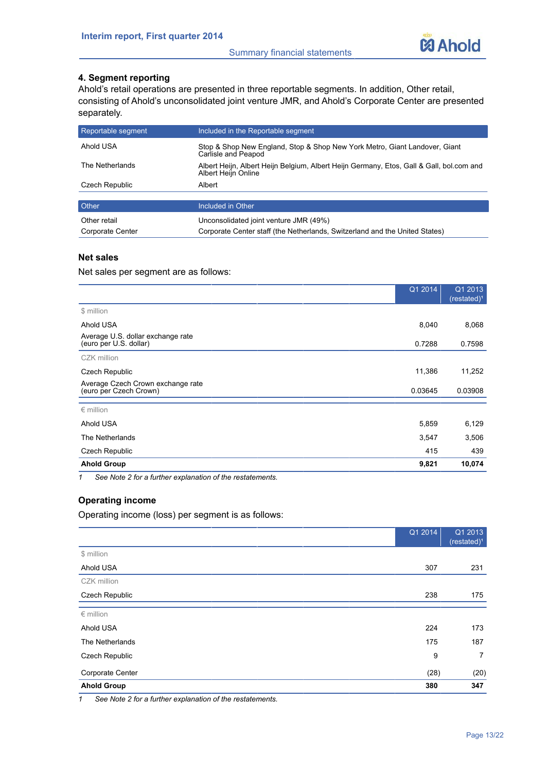

# **4. Segment reporting**

Ahold's retail operations are presented in three reportable segments. In addition, Other retail, consisting of Ahold's unconsolidated joint venture JMR, and Ahold's Corporate Center are presented separately.

| Reportable segment | Included in the Reportable segment                                                                              |
|--------------------|-----------------------------------------------------------------------------------------------------------------|
| Ahold USA          | Stop & Shop New England, Stop & Shop New York Metro, Giant Landover, Giant<br>Carlisle and Peapod               |
| The Netherlands    | Albert Heijn, Albert Heijn Belgium, Albert Heijn Germany, Etos, Gall & Gall, bol.com and<br>Albert Heijn Online |
| Czech Republic     | Albert                                                                                                          |
|                    |                                                                                                                 |
| <b>Other</b>       | Included in Other                                                                                               |
| Other retail       | Unconsolidated joint venture JMR (49%)                                                                          |
| Corporate Center   | Corporate Center staff (the Netherlands, Switzerland and the United States)                                     |

# **Net sales**

Net sales per segment are as follows:

|                                                                | Q1 2014 | Q1 2013<br>$(rested)^1$ |
|----------------------------------------------------------------|---------|-------------------------|
| \$ million                                                     |         |                         |
| Ahold USA                                                      | 8,040   | 8,068                   |
| Average U.S. dollar exchange rate<br>(euro per U.S. dollar)    | 0.7288  | 0.7598                  |
| CZK million                                                    |         |                         |
| <b>Czech Republic</b>                                          | 11,386  | 11,252                  |
| Average Czech Crown exchange rate<br>(euro per Czech Crown)    | 0.03645 | 0.03908                 |
| $\epsilon$ million                                             |         |                         |
| Ahold USA                                                      | 5,859   | 6,129                   |
| The Netherlands                                                | 3,547   | 3,506                   |
| <b>Czech Republic</b>                                          | 415     | 439                     |
| <b>Ahold Group</b>                                             | 9,821   | 10,074                  |
| See Note 2 for a further explanation of the restatements.<br>1 |         |                         |

# **Operating income**

Operating income (loss) per segment is as follows:

|                                                                         | Q1 2014 | Q1 2013<br>$(resated)^1$ |
|-------------------------------------------------------------------------|---------|--------------------------|
| \$ million                                                              |         |                          |
| Ahold USA                                                               | 307     | 231                      |
| CZK million                                                             |         |                          |
| Czech Republic                                                          | 238     | 175                      |
| $\epsilon$ million                                                      |         |                          |
| Ahold USA                                                               | 224     | 173                      |
| The Netherlands                                                         | 175     | 187                      |
| Czech Republic                                                          | 9       | $\overline{7}$           |
| Corporate Center                                                        | (28)    | (20)                     |
| <b>Ahold Group</b>                                                      | 380     | 347                      |
| $\sim$ $\sim$ $\sim$ $\sim$<br>$\sim$ $\sim$<br>$\sim$ $\sim$<br>$\sim$ |         |                          |

*1 See Note 2 for a further explanation of the restatements.*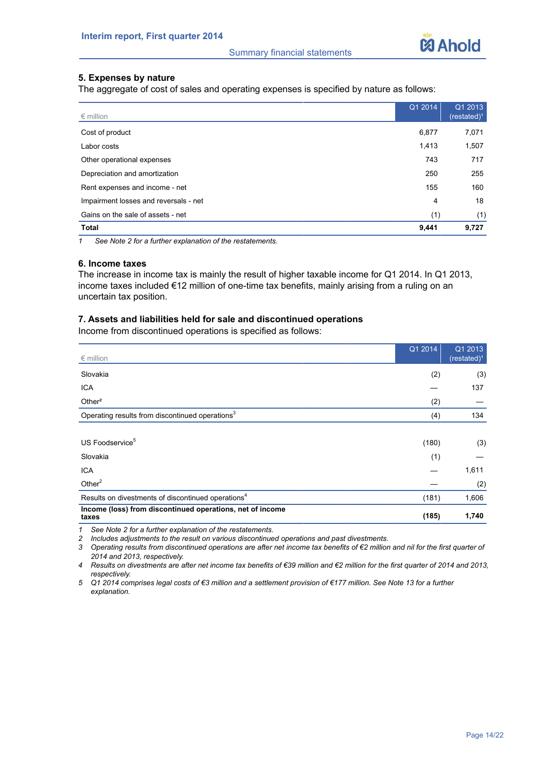

# **5. Expenses by nature**

The aggregate of cost of sales and operating expenses is specified by nature as follows:

| $\epsilon$ million                    | Q1 2014 | Q1 2013<br>(restated) <sup>1</sup> |
|---------------------------------------|---------|------------------------------------|
| Cost of product                       | 6,877   | 7,071                              |
| Labor costs                           | 1,413   | 1,507                              |
| Other operational expenses            | 743     | 717                                |
| Depreciation and amortization         | 250     | 255                                |
| Rent expenses and income - net        | 155     | 160                                |
| Impairment losses and reversals - net | 4       | 18                                 |
| Gains on the sale of assets - net     | (1)     | (1)                                |
| <b>Total</b>                          | 9,441   | 9,727                              |

*1 See Note 2 for a further explanation of the restatements.*

## **6. Income taxes**

The increase in income tax is mainly the result of higher taxable income for Q1 2014. In Q1 2013, income taxes included €12 million of one-time tax benefits, mainly arising from a ruling on an uncertain tax position.

# **7. Assets and liabilities held for sale and discontinued operations**

Income from discontinued operations is specified as follows:

| $\epsilon$ million                                                 | Q1 2014 | Q1 2013<br>(restated) <sup>1</sup> |
|--------------------------------------------------------------------|---------|------------------------------------|
| Slovakia                                                           | (2)     | (3)                                |
| <b>ICA</b>                                                         |         | 137                                |
| Other <sup>2</sup>                                                 | (2)     |                                    |
| Operating results from discontinued operations <sup>3</sup>        | (4)     | 134                                |
|                                                                    |         |                                    |
| US Foodservice <sup>5</sup>                                        | (180)   | (3)                                |
| Slovakia                                                           | (1)     |                                    |
| <b>ICA</b>                                                         |         | 1,611                              |
| Other $2$                                                          |         | (2)                                |
| Results on divestments of discontinued operations <sup>4</sup>     | (181)   | 1,606                              |
| Income (loss) from discontinued operations, net of income<br>taxes | (185)   | 1,740                              |

*1 See Note 2 for a further explanation of the restatements.*

*2 Includes adjustments to the result on various discontinued operations and past divestments.*

*3 Operating results from discontinued operations are after net income tax benefits of €2 million and nil for the first quarter of 2014 and 2013, respectively.*

*4 Results on divestments are after net income tax benefits of €39 million and €2 million for the first quarter of 2014 and 2013, respectively.*

*5 Q1 2014 comprises legal costs of €3 million and a settlement provision of €177 million. See Note 13 for a further explanation.*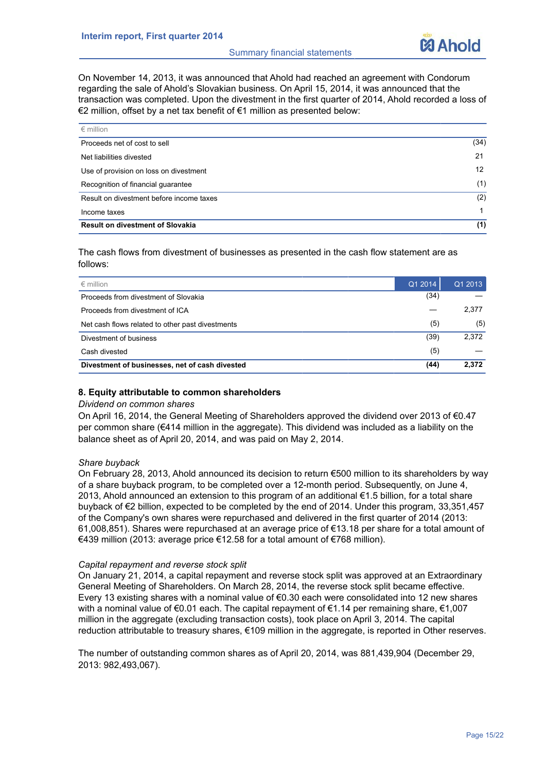

On November 14, 2013, it was announced that Ahold had reached an agreement with Condorum regarding the sale of Ahold's Slovakian business. On April 15, 2014, it was announced that the transaction was completed. Upon the divestment in the first quarter of 2014, Ahold recorded a loss of €2 million, offset by a net tax benefit of €1 million as presented below:

| $\epsilon$ million                       |                 |
|------------------------------------------|-----------------|
| Proceeds net of cost to sell             | (34)            |
| Net liabilities divested                 | 21              |
| Use of provision on loss on divestment   | 12 <sup>2</sup> |
| Recognition of financial guarantee       | (1)             |
| Result on divestment before income taxes | (2)             |
| Income taxes                             |                 |
| <b>Result on divestment of Slovakia</b>  | (1)             |

The cash flows from divestment of businesses as presented in the cash flow statement are as follows:

| $\epsilon$ million                               | Q1 2014 | Q1 2013 |
|--------------------------------------------------|---------|---------|
| Proceeds from divestment of Slovakia             | (34)    |         |
| Proceeds from divestment of ICA                  |         | 2,377   |
| Net cash flows related to other past divestments | (5)     | (5)     |
| Divestment of business                           | (39)    | 2,372   |
| Cash divested                                    | (5)     |         |
| Divestment of businesses, net of cash divested   | (44)    | 2,372   |

# **8. Equity attributable to common shareholders**

# *Dividend on common shares*

On April 16, 2014, the General Meeting of Shareholders approved the dividend over 2013 of €0.47 per common share (€414 million in the aggregate). This dividend was included as a liability on the balance sheet as of April 20, 2014, and was paid on May 2, 2014.

# *Share buyback*

On February 28, 2013, Ahold announced its decision to return €500 million to its shareholders by way of a share buyback program, to be completed over a 12-month period. Subsequently, on June 4, 2013, Ahold announced an extension to this program of an additional €1.5 billion, for a total share buyback of €2 billion, expected to be completed by the end of 2014. Under this program, 33,351,457 of the Company's own shares were repurchased and delivered in the first quarter of 2014 (2013: 61,008,851). Shares were repurchased at an average price of €13.18 per share for a total amount of €439 million (2013: average price €12.58 for a total amount of €768 million).

#### *Capital repayment and reverse stock split*

On January 21, 2014, a capital repayment and reverse stock split was approved at an Extraordinary General Meeting of Shareholders. On March 28, 2014, the reverse stock split became effective. Every 13 existing shares with a nominal value of  $\epsilon$ 0.30 each were consolidated into 12 new shares with a nominal value of €0.01 each. The capital repayment of €1.14 per remaining share, €1,007 million in the aggregate (excluding transaction costs), took place on April 3, 2014. The capital reduction attributable to treasury shares, €109 million in the aggregate, is reported in Other reserves.

The number of outstanding common shares as of April 20, 2014, was 881,439,904 (December 29, 2013: 982,493,067).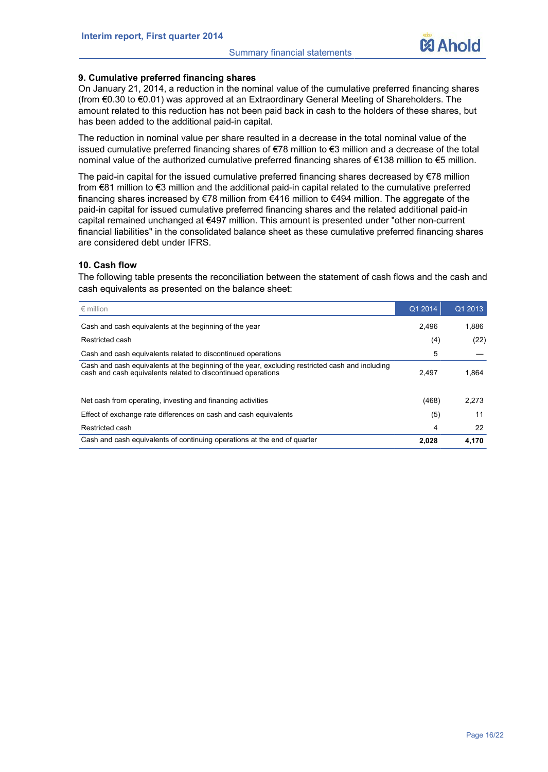

# **9. Cumulative preferred financing shares**

On January 21, 2014, a reduction in the nominal value of the cumulative preferred financing shares (from €0.30 to €0.01) was approved at an Extraordinary General Meeting of Shareholders. The amount related to this reduction has not been paid back in cash to the holders of these shares, but has been added to the additional paid-in capital.

The reduction in nominal value per share resulted in a decrease in the total nominal value of the issued cumulative preferred financing shares of €78 million to €3 million and a decrease of the total nominal value of the authorized cumulative preferred financing shares of €138 million to €5 million.

The paid-in capital for the issued cumulative preferred financing shares decreased by €78 million from €81 million to €3 million and the additional paid-in capital related to the cumulative preferred financing shares increased by €78 million from €416 million to €494 million. The aggregate of the paid-in capital for issued cumulative preferred financing shares and the related additional paid-in capital remained unchanged at €497 million. This amount is presented under "other non-current financial liabilities" in the consolidated balance sheet as these cumulative preferred financing shares are considered debt under IFRS.

# **10. Cash flow**

The following table presents the reconciliation between the statement of cash flows and the cash and cash equivalents as presented on the balance sheet:

| $\epsilon$ million                                                                                                                                              | Q1 2014 | Q1 2013 |
|-----------------------------------------------------------------------------------------------------------------------------------------------------------------|---------|---------|
| Cash and cash equivalents at the beginning of the year                                                                                                          | 2.496   | 1.886   |
| Restricted cash                                                                                                                                                 | (4)     | (22)    |
| Cash and cash equivalents related to discontinued operations                                                                                                    | 5       |         |
| Cash and cash equivalents at the beginning of the year, excluding restricted cash and including<br>cash and cash equivalents related to discontinued operations | 2.497   | 1.864   |
| Net cash from operating, investing and financing activities                                                                                                     | (468)   | 2,273   |
| Effect of exchange rate differences on cash and cash equivalents                                                                                                | (5)     | 11      |
| Restricted cash                                                                                                                                                 | 4       | 22      |
| Cash and cash equivalents of continuing operations at the end of quarter                                                                                        | 2.028   | 4.170   |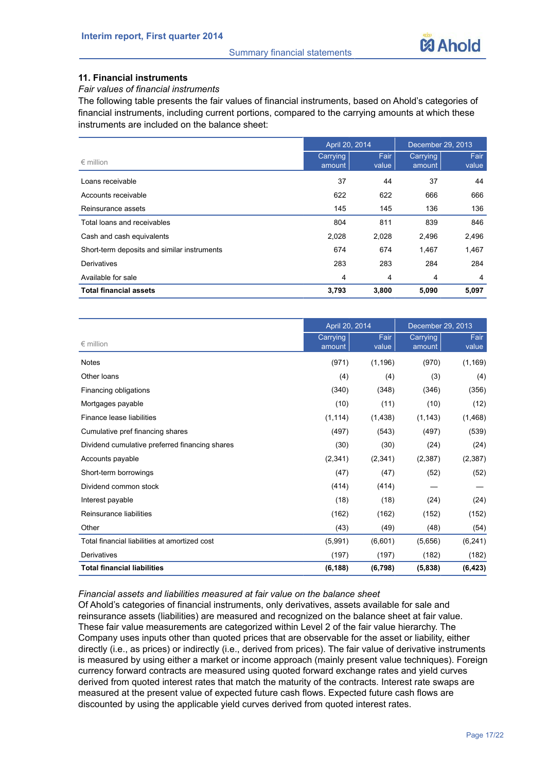

# **11. Financial instruments**

## *Fair values of financial instruments*

The following table presents the fair values of financial instruments, based on Ahold's categories of financial instruments, including current portions, compared to the carrying amounts at which these instruments are included on the balance sheet:

|                                             | April 20, 2014     |               | December 29, 2013  |               |
|---------------------------------------------|--------------------|---------------|--------------------|---------------|
| $\epsilon$ million                          | Carrying<br>amount | Fair<br>value | Carrying<br>amount | Fair<br>value |
| Loans receivable                            | 37                 | 44            | 37                 | 44            |
| Accounts receivable                         | 622                | 622           | 666                | 666           |
| Reinsurance assets                          | 145                | 145           | 136                | 136           |
| Total loans and receivables                 | 804                | 811           | 839                | 846           |
| Cash and cash equivalents                   | 2,028              | 2,028         | 2,496              | 2,496         |
| Short-term deposits and similar instruments | 674                | 674           | 1,467              | 1,467         |
| Derivatives                                 | 283                | 283           | 284                | 284           |
| Available for sale                          | 4                  | 4             | $\overline{4}$     | 4             |
| <b>Total financial assets</b>               | 3,793              | 3,800         | 5,090              | 5,097         |

| April 20, 2014                                 |                    |               | December 29, 2013  |               |  |
|------------------------------------------------|--------------------|---------------|--------------------|---------------|--|
| $\epsilon$ million                             | Carrying<br>amount | Fair<br>value | Carrying<br>amount | Fair<br>value |  |
| <b>Notes</b>                                   | (971)              | (1, 196)      | (970)              | (1, 169)      |  |
| Other loans                                    | (4)                | (4)           | (3)                | (4)           |  |
| Financing obligations                          | (340)              | (348)         | (346)              | (356)         |  |
| Mortgages payable                              | (10)               | (11)          | (10)               | (12)          |  |
| Finance lease liabilities                      | (1, 114)           | (1,438)       | (1, 143)           | (1, 468)      |  |
| Cumulative pref financing shares               | (497)              | (543)         | (497)              | (539)         |  |
| Dividend cumulative preferred financing shares | (30)               | (30)          | (24)               | (24)          |  |
| Accounts payable                               | (2,341)            | (2,341)       | (2,387)            | (2, 387)      |  |
| Short-term borrowings                          | (47)               | (47)          | (52)               | (52)          |  |
| Dividend common stock                          | (414)              | (414)         |                    |               |  |
| Interest payable                               | (18)               | (18)          | (24)               | (24)          |  |
| Reinsurance liabilities                        | (162)              | (162)         | (152)              | (152)         |  |
| Other                                          | (43)               | (49)          | (48)               | (54)          |  |
| Total financial liabilities at amortized cost  | (5,991)            | (6,601)       | (5,656)            | (6, 241)      |  |
| Derivatives                                    | (197)              | (197)         | (182)              | (182)         |  |
| <b>Total financial liabilities</b>             | (6, 188)           | (6, 798)      | (5,838)            | (6, 423)      |  |

# *Financial assets and liabilities measured at fair value on the balance sheet*

Of Ahold's categories of financial instruments, only derivatives, assets available for sale and reinsurance assets (liabilities) are measured and recognized on the balance sheet at fair value. These fair value measurements are categorized within Level 2 of the fair value hierarchy. The Company uses inputs other than quoted prices that are observable for the asset or liability, either directly (i.e., as prices) or indirectly (i.e., derived from prices). The fair value of derivative instruments is measured by using either a market or income approach (mainly present value techniques). Foreign currency forward contracts are measured using quoted forward exchange rates and yield curves derived from quoted interest rates that match the maturity of the contracts. Interest rate swaps are measured at the present value of expected future cash flows. Expected future cash flows are discounted by using the applicable yield curves derived from quoted interest rates.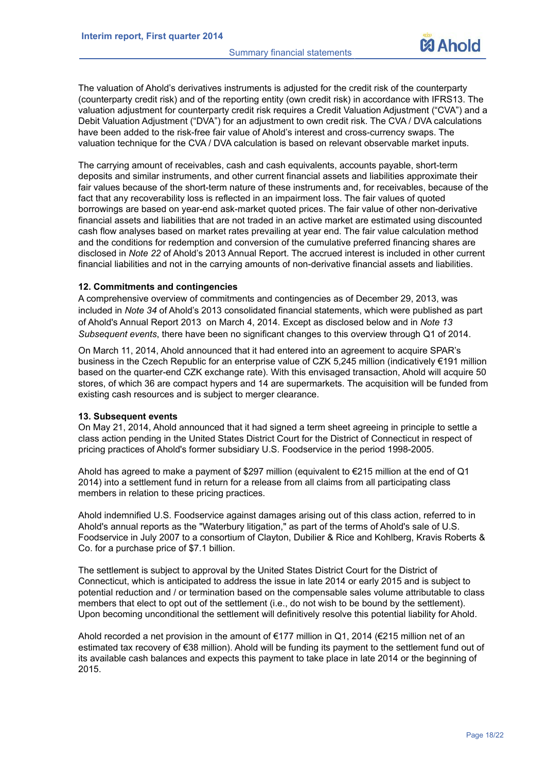

The valuation of Ahold's derivatives instruments is adjusted for the credit risk of the counterparty (counterparty credit risk) and of the reporting entity (own credit risk) in accordance with IFRS13. The valuation adjustment for counterparty credit risk requires a Credit Valuation Adjustment ("CVA") and a Debit Valuation Adjustment ("DVA") for an adjustment to own credit risk. The CVA / DVA calculations have been added to the risk-free fair value of Ahold's interest and cross-currency swaps. The valuation technique for the CVA / DVA calculation is based on relevant observable market inputs.

The carrying amount of receivables, cash and cash equivalents, accounts payable, short-term deposits and similar instruments, and other current financial assets and liabilities approximate their fair values because of the short-term nature of these instruments and, for receivables, because of the fact that any recoverability loss is reflected in an impairment loss. The fair values of quoted borrowings are based on year-end ask-market quoted prices. The fair value of other non-derivative financial assets and liabilities that are not traded in an active market are estimated using discounted cash flow analyses based on market rates prevailing at year end. The fair value calculation method and the conditions for redemption and conversion of the cumulative preferred financing shares are disclosed in *Note 22* of Ahold's 2013 Annual Report. The accrued interest is included in other current financial liabilities and not in the carrying amounts of non-derivative financial assets and liabilities.

#### **12. Commitments and contingencies**

A comprehensive overview of commitments and contingencies as of December 29, 2013, was included in *Note 34* of Ahold's 2013 consolidated financial statements, which were published as part of Ahold's Annual Report 2013 on March 4, 2014. Except as disclosed below and in *Note 13 Subsequent events*, there have been no significant changes to this overview through Q1 of 2014.

On March 11, 2014, Ahold announced that it had entered into an agreement to acquire SPAR's business in the Czech Republic for an enterprise value of CZK 5,245 million (indicatively €191 million based on the quarter-end CZK exchange rate). With this envisaged transaction, Ahold will acquire 50 stores, of which 36 are compact hypers and 14 are supermarkets. The acquisition will be funded from existing cash resources and is subject to merger clearance.

## **13. Subsequent events**

On May 21, 2014, Ahold announced that it had signed a term sheet agreeing in principle to settle a class action pending in the United States District Court for the District of Connecticut in respect of pricing practices of Ahold's former subsidiary U.S. Foodservice in the period 1998-2005.

Ahold has agreed to make a payment of \$297 million (equivalent to €215 million at the end of Q1 2014) into a settlement fund in return for a release from all claims from all participating class members in relation to these pricing practices.

Ahold indemnified U.S. Foodservice against damages arising out of this class action, referred to in Ahold's annual reports as the "Waterbury litigation," as part of the terms of Ahold's sale of U.S. Foodservice in July 2007 to a consortium of Clayton, Dubilier & Rice and Kohlberg, Kravis Roberts & Co. for a purchase price of \$7.1 billion.

The settlement is subject to approval by the United States District Court for the District of Connecticut, which is anticipated to address the issue in late 2014 or early 2015 and is subject to potential reduction and / or termination based on the compensable sales volume attributable to class members that elect to opt out of the settlement (i.e., do not wish to be bound by the settlement). Upon becoming unconditional the settlement will definitively resolve this potential liability for Ahold.

Ahold recorded a net provision in the amount of €177 million in Q1, 2014 (€215 million net of an estimated tax recovery of €38 million). Ahold will be funding its payment to the settlement fund out of its available cash balances and expects this payment to take place in late 2014 or the beginning of 2015.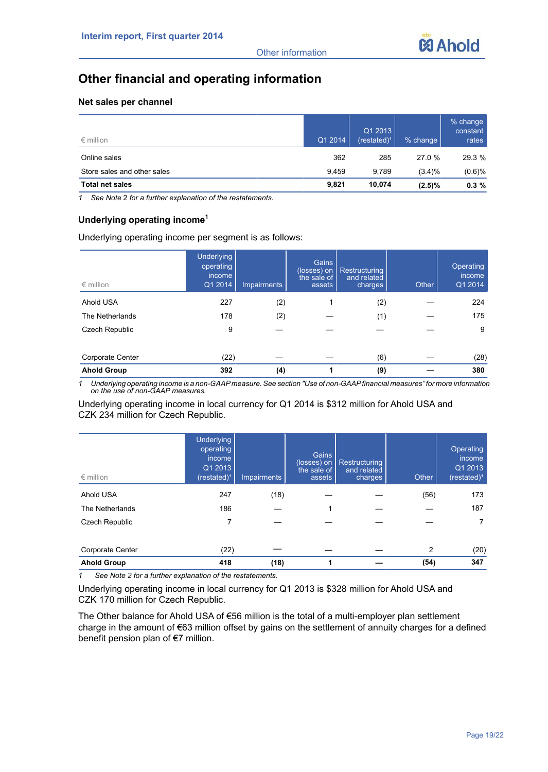

# **Other financial and operating information**

# **Net sales per channel**

| $\epsilon$ million          | Q1 2014 | Q1 2013<br>$(restated)^1$ | % change  | $%$ change<br>constant<br>rates |
|-----------------------------|---------|---------------------------|-----------|---------------------------------|
| Online sales                | 362     | 285                       | 27.0 %    | 29.3 %                          |
| Store sales and other sales | 9.459   | 9.789                     | (3.4)%    | (0.6)%                          |
| <b>Total net sales</b>      | 9,821   | 10.074                    | $(2.5)\%$ | 0.3%                            |

*1 See Note* 2 *for a further explanation of the restatements.* 

# **Underlying operating income<sup>1</sup>**

Underlying operating income per segment is as follows:

| $\epsilon$ million | <b>Underlying</b><br>operating<br>income<br>Q1 2014 | <b>Impairments</b> | Gains<br>(losses) on<br>the sale of<br>assets | Restructuring<br>and related<br>charges | Other | Operating<br>income<br>Q1 2014 |
|--------------------|-----------------------------------------------------|--------------------|-----------------------------------------------|-----------------------------------------|-------|--------------------------------|
| Ahold USA          | 227                                                 | (2)                |                                               | (2)                                     |       | 224                            |
| The Netherlands    | 178                                                 | (2)                |                                               | (1)                                     |       | 175                            |
| Czech Republic     | 9                                                   |                    |                                               |                                         |       | 9                              |
| Corporate Center   | (22)                                                |                    |                                               | (6)                                     |       | (28)                           |
| <b>Ahold Group</b> | 392                                                 | (4)                | 1                                             | (9)                                     |       | 380                            |

*1 Underlying operating income is a non-GAAPmeasure. See section "Use of non-GAAPfinancial measures" for more information on the use of non-GAAP measures.*

# Underlying operating income in local currency for Q1 2014 is \$312 million for Ahold USA and CZK 234 million for Czech Republic.

| $\epsilon$ million | <b>Underlying</b><br>operating<br>income<br>Q1 2013<br>(restated) <sup>1</sup> | Impairments | Gains<br>(losses) on<br>the sale of<br>assets | <b>Restructuring</b><br>and related<br>charges | Other | Operating<br>income<br>Q1 2013<br>$(rested)^1$ |
|--------------------|--------------------------------------------------------------------------------|-------------|-----------------------------------------------|------------------------------------------------|-------|------------------------------------------------|
| Ahold USA          | 247                                                                            | (18)        |                                               |                                                | (56)  | 173                                            |
| The Netherlands    | 186                                                                            |             |                                               |                                                |       | 187                                            |
| Czech Republic     | 7                                                                              |             |                                               |                                                |       |                                                |
| Corporate Center   | (22)                                                                           |             |                                               |                                                | 2     | (20)                                           |
| <b>Ahold Group</b> | 418                                                                            | (18)        |                                               |                                                | (54)  | 347                                            |

*1 See Note 2 for a further explanation of the restatements.*

Underlying operating income in local currency for Q1 2013 is \$328 million for Ahold USA and CZK 170 million for Czech Republic.

The Other balance for Ahold USA of €56 million is the total of a multi-employer plan settlement charge in the amount of €63 million offset by gains on the settlement of annuity charges for a defined benefit pension plan of €7 million.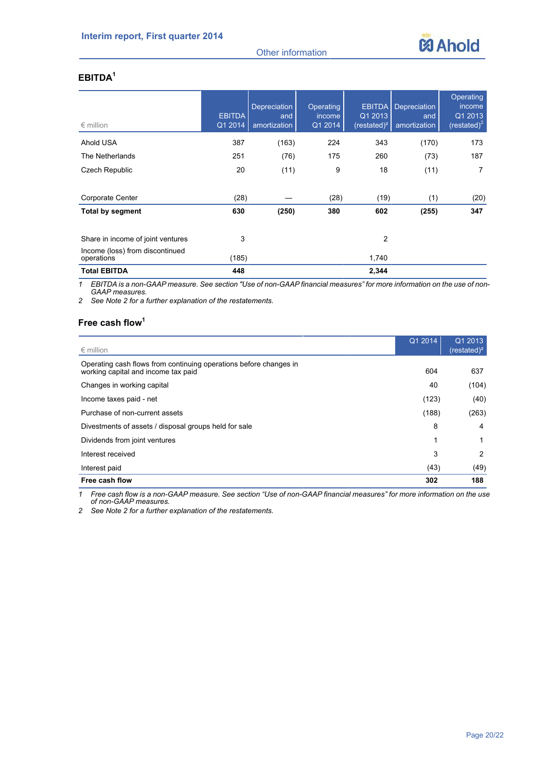



# **EBITDA<sup>1</sup>**

| $\epsilon$ million                            | <b>EBITDA</b><br>Q1 2014 | <b>Depreciation</b><br>and<br>amortization | Operating<br><i>income</i><br>Q1 2014 | <b>EBITDA</b><br>Q1 2013<br>$(rested)^2$ | <b>Depreciation</b><br>and<br>amortization | Operating<br>income<br>Q1 2013<br>(restated) $2$ |
|-----------------------------------------------|--------------------------|--------------------------------------------|---------------------------------------|------------------------------------------|--------------------------------------------|--------------------------------------------------|
| Ahold USA                                     | 387                      | (163)                                      | 224                                   | 343                                      | (170)                                      | 173                                              |
| The Netherlands                               | 251                      | (76)                                       | 175                                   | 260                                      | (73)                                       | 187                                              |
| Czech Republic                                | 20                       | (11)                                       | 9                                     | 18                                       | (11)                                       | 7                                                |
| Corporate Center                              | (28)                     |                                            | (28)                                  | (19)                                     | (1)                                        | (20)                                             |
| <b>Total by segment</b>                       | 630                      | (250)                                      | 380                                   | 602                                      | (255)                                      | 347                                              |
| Share in income of joint ventures             | 3                        |                                            |                                       | $\overline{2}$                           |                                            |                                                  |
| Income (loss) from discontinued<br>operations | (185)                    |                                            |                                       | 1.740                                    |                                            |                                                  |
| <b>Total EBITDA</b>                           | 448                      |                                            |                                       | 2,344                                    |                                            |                                                  |

*1 EBITDA is a non-GAAP measure. See section "Use of non-GAAP financial measures" for more information on the use of non-GAAP measures.*

*2 See Note 2 for a further explanation of the restatements.* 

# **Free cash flow<sup>1</sup>**

| $\epsilon$ million                                                                                       | Q1 2014 | Q1 2013<br>(restated) <sup>2</sup> |
|----------------------------------------------------------------------------------------------------------|---------|------------------------------------|
| Operating cash flows from continuing operations before changes in<br>working capital and income tax paid | 604     | 637                                |
| Changes in working capital                                                                               | 40      | (104)                              |
| Income taxes paid - net                                                                                  | (123)   | (40)                               |
| Purchase of non-current assets                                                                           | (188)   | (263)                              |
| Divestments of assets / disposal groups held for sale                                                    | 8       | 4                                  |
| Dividends from joint ventures                                                                            | 1       |                                    |
| Interest received                                                                                        | 3       | 2                                  |
| Interest paid                                                                                            | (43)    | (49)                               |
| Free cash flow                                                                                           | 302     | 188                                |

*1 Free cash flow is a non-GAAP measure. See section "Use of non-GAAP financial measures" for more information on the use of non-GAAP measures.*

*2 See Note 2 for a further explanation of the restatements.*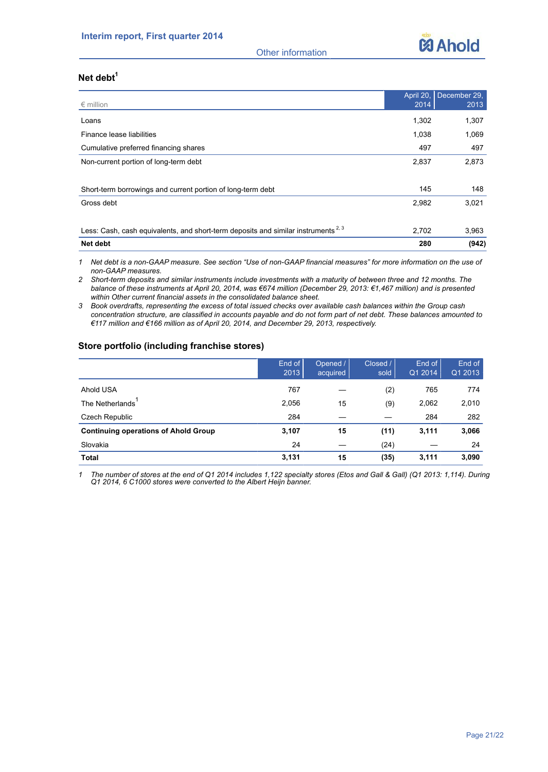

Other information

# **Net debt<sup>1</sup>**

| $\epsilon$ million                                                                            | April 20,<br>2014 | December 29,<br>2013 |
|-----------------------------------------------------------------------------------------------|-------------------|----------------------|
|                                                                                               |                   |                      |
| Loans                                                                                         | 1,302             | 1,307                |
| Finance lease liabilities                                                                     | 1,038             | 1,069                |
| Cumulative preferred financing shares                                                         | 497               | 497                  |
| Non-current portion of long-term debt                                                         | 2,837             | 2,873                |
|                                                                                               |                   |                      |
| Short-term borrowings and current portion of long-term debt                                   | 145               | 148                  |
| Gross debt                                                                                    | 2,982             | 3,021                |
|                                                                                               |                   |                      |
| Less: Cash, cash equivalents, and short-term deposits and similar instruments <sup>2, 3</sup> | 2,702             | 3,963                |
| <b>Net debt</b>                                                                               | 280               | (942)                |

*1 Net debt is a non-GAAP measure. See section "Use of non-GAAP financial measures" for more information on the use of non-GAAP measures.*

*2 Short-term deposits and similar instruments include investments with a maturity of between three and 12 months. The balance of these instruments at April 20, 2014, was €674 million (December 29, 2013: €1,467 million) and is presented within Other current financial assets in the consolidated balance sheet.* 

*3 Book overdrafts, representing the excess of total issued checks over available cash balances within the Group cash concentration structure, are classified in accounts payable and do not form part of net debt. These balances amounted to €117 million and €166 million as of April 20, 2014, and December 29, 2013, respectively.*

# **Store portfolio (including franchise stores)**

|                                             | End of<br>2013 | Opened /<br>acquired | Closed /<br>sold | End of<br>Q1 2014 | End of<br>Q1 2013 |
|---------------------------------------------|----------------|----------------------|------------------|-------------------|-------------------|
| Ahold USA                                   | 767            |                      | (2)              | 765               | 774               |
| The Netherlands                             | 2,056          | 15                   | (9)              | 2,062             | 2,010             |
| Czech Republic                              | 284            |                      |                  | 284               | 282               |
| <b>Continuing operations of Ahold Group</b> | 3,107          | 15                   | (11)             | 3,111             | 3,066             |
| Slovakia                                    | 24             |                      | (24)             |                   | 24                |
| <b>Total</b>                                | 3,131          | 15                   | (35)             | 3,111             | 3,090             |

*1 The number of stores at the end of Q1 2014 includes 1,122 specialty stores (Etos and Gall & Gall) (Q1 2013: 1,114). During Q1 2014, 6 C1000 stores were converted to the Albert Heijn banner.*